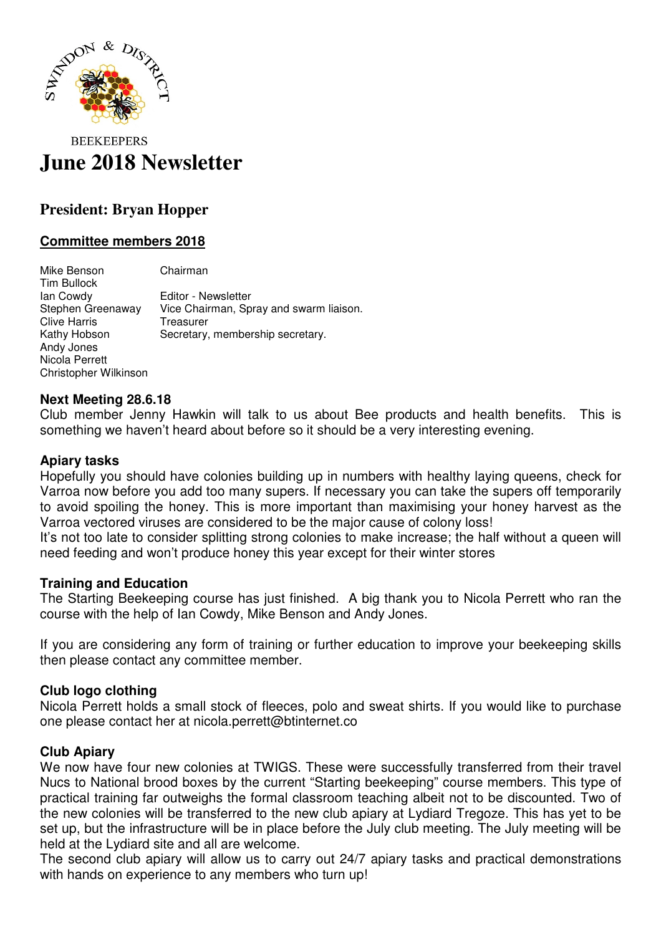

# **BEEKEEPERS June 2018 Newsletter**

## **President: Bryan Hopper**

### **Committee members 2018**

Mike Benson Chairman Tim Bullock Ian Cowdy Editor - Newsletter Stephen Greenaway Vice Chairman, Spray and swarm liaison. Clive Harris Treasurer<br>
Kathy Hobson Secretary Secretary, membership secretary. Andy Jones Nicola Perrett Christopher Wilkinson

#### **Next Meeting 28.6.18**

Club member Jenny Hawkin will talk to us about Bee products and health benefits. This is something we haven't heard about before so it should be a very interesting evening.

#### **Apiary tasks**

Hopefully you should have colonies building up in numbers with healthy laying queens, check for Varroa now before you add too many supers. If necessary you can take the supers off temporarily to avoid spoiling the honey. This is more important than maximising your honey harvest as the Varroa vectored viruses are considered to be the major cause of colony loss!

It's not too late to consider splitting strong colonies to make increase; the half without a queen will need feeding and won't produce honey this year except for their winter stores

#### **Training and Education**

The Starting Beekeeping course has just finished. A big thank you to Nicola Perrett who ran the course with the help of Ian Cowdy, Mike Benson and Andy Jones.

If you are considering any form of training or further education to improve your beekeeping skills then please contact any committee member.

#### **Club logo clothing**

Nicola Perrett holds a small stock of fleeces, polo and sweat shirts. If you would like to purchase one please contact her at nicola.perrett@btinternet.co

#### **Club Apiary**

We now have four new colonies at TWIGS. These were successfully transferred from their travel Nucs to National brood boxes by the current "Starting beekeeping" course members. This type of practical training far outweighs the formal classroom teaching albeit not to be discounted. Two of the new colonies will be transferred to the new club apiary at Lydiard Tregoze. This has yet to be set up, but the infrastructure will be in place before the July club meeting. The July meeting will be held at the Lydiard site and all are welcome.

The second club apiary will allow us to carry out 24/7 apiary tasks and practical demonstrations with hands on experience to any members who turn up!